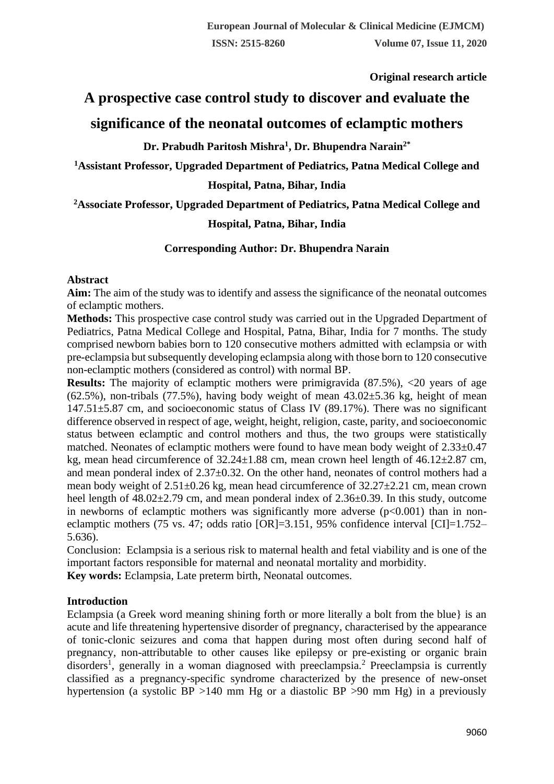**Original research article** 

# **A prospective case control study to discover and evaluate the significance of the neonatal outcomes of eclamptic mothers**

**Dr. Prabudh Paritosh Mishra<sup>1</sup> , Dr. Bhupendra Narain2\***

**<sup>1</sup>Assistant Professor, Upgraded Department of Pediatrics, Patna Medical College and** 

**Hospital, Patna, Bihar, India**

**<sup>2</sup>Associate Professor, Upgraded Department of Pediatrics, Patna Medical College and** 

# **Hospital, Patna, Bihar, India**

## **Corresponding Author: Dr. Bhupendra Narain**

## **Abstract**

**Aim:** The aim of the study was to identify and assess the significance of the neonatal outcomes of eclamptic mothers.

**Methods:** This prospective case control study was carried out in the Upgraded Department of Pediatrics, Patna Medical College and Hospital, Patna, Bihar, India for 7 months. The study comprised newborn babies born to 120 consecutive mothers admitted with eclampsia or with pre-eclampsia but subsequently developing eclampsia along with those born to 120 consecutive non-eclamptic mothers (considered as control) with normal BP.

**Results:** The majority of eclamptic mothers were primigravida (87.5%), <20 years of age  $(62.5\%)$ , non-tribals (77.5%), having body weight of mean  $43.02\pm5.36$  kg, height of mean 147.51±5.87 cm, and socioeconomic status of Class IV (89.17%). There was no significant difference observed in respect of age, weight, height, religion, caste, parity, and socioeconomic status between eclamptic and control mothers and thus, the two groups were statistically matched. Neonates of eclamptic mothers were found to have mean body weight of 2.33±0.47 kg, mean head circumference of 32.24±1.88 cm, mean crown heel length of 46.12±2.87 cm, and mean ponderal index of 2.37±0.32. On the other hand, neonates of control mothers had a mean body weight of  $2.51\pm0.26$  kg, mean head circumference of  $32.27\pm2.21$  cm, mean crown heel length of  $48.02\pm2.79$  cm, and mean ponderal index of  $2.36\pm0.39$ . In this study, outcome in newborns of eclamptic mothers was significantly more adverse  $(p<0.001)$  than in noneclamptic mothers (75 vs. 47; odds ratio [OR]=3.151, 95% confidence interval [CI]=1.752– 5.636).

Conclusion: Eclampsia is a serious risk to maternal health and fetal viability and is one of the important factors responsible for maternal and neonatal mortality and morbidity.

**Key words:** Eclampsia, Late preterm birth, Neonatal outcomes.

## **Introduction**

Eclampsia (a Greek word meaning shining forth or more literally a bolt from the blue} is an acute and life threatening hypertensive disorder of pregnancy, characterised by the appearance of tonic-clonic seizures and coma that happen during most often during second half of pregnancy, non-attributable to other causes like epilepsy or pre-existing or organic brain disorders<sup>1</sup>, generally in a woman diagnosed with preeclampsia.<sup>2</sup> Preeclampsia is currently classified as a pregnancy-specific syndrome characterized by the presence of new-onset hypertension (a systolic BP >140 mm Hg or a diastolic BP >90 mm Hg) in a previously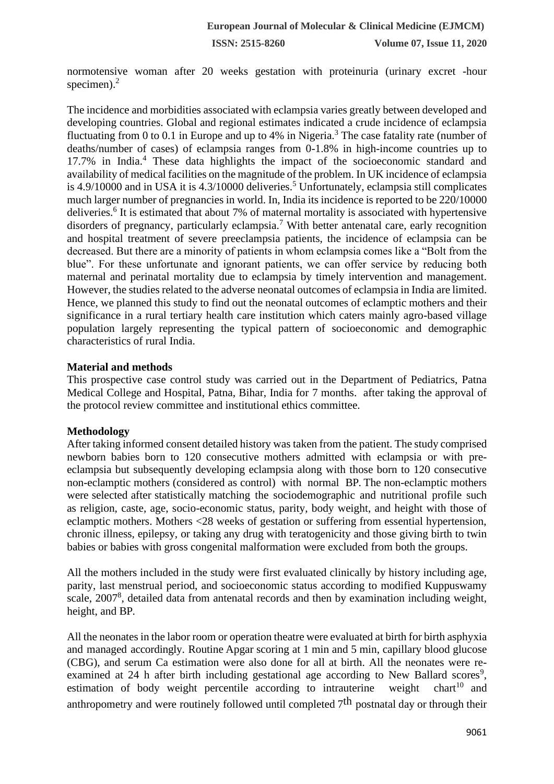**ISSN: 2515-8260 Volume 07, Issue 11, 2020**

normotensive woman after 20 weeks gestation with proteinuria (urinary excret -hour specimen). $<sup>2</sup>$ </sup>

The incidence and morbidities associated with eclampsia varies greatly between developed and developing countries. Global and regional estimates indicated a crude incidence of eclampsia fluctuating from 0 to 0.1 in Europe and up to 4% in Nigeria.<sup>3</sup> The case fatality rate (number of deaths/number of cases) of eclampsia ranges from 0-1.8% in high-income countries up to  $17.7\%$  in India.<sup>4</sup> These data highlights the impact of the socioeconomic standard and availability of medical facilities on the magnitude of the problem. In UK incidence of eclampsia is 4.9/10000 and in USA it is 4.3/10000 deliveries.<sup>5</sup> Unfortunately, eclampsia still complicates much larger number of pregnancies in world. In, India its incidence is reported to be 220/10000 deliveries.<sup>6</sup> It is estimated that about 7% of maternal mortality is associated with hypertensive disorders of pregnancy, particularly eclampsia.<sup>7</sup> With better antenatal care, early recognition and hospital treatment of severe preeclampsia patients, the incidence of eclampsia can be decreased. But there are a minority of patients in whom eclampsia comes like a "Bolt from the blue". For these unfortunate and ignorant patients, we can offer service by reducing both maternal and perinatal mortality due to eclampsia by timely intervention and management. However, the studies related to the adverse neonatal outcomes of eclampsia in India are limited. Hence, we planned this study to find out the neonatal outcomes of eclamptic mothers and their significance in a rural tertiary health care institution which caters mainly agro-based village population largely representing the typical pattern of socioeconomic and demographic characteristics of rural India.

### **Material and methods**

This prospective case control study was carried out in the Department of Pediatrics, Patna Medical College and Hospital, Patna, Bihar, India for 7 months. after taking the approval of the protocol review committee and institutional ethics committee.

## **Methodology**

After taking informed consent detailed history was taken from the patient. The study comprised newborn babies born to 120 consecutive mothers admitted with eclampsia or with preeclampsia but subsequently developing eclampsia along with those born to 120 consecutive non-eclamptic mothers (considered as control) with normal BP. The non-eclamptic mothers were selected after statistically matching the sociodemographic and nutritional profile such as religion, caste, age, socio-economic status, parity, body weight, and height with those of eclamptic mothers. Mothers <28 weeks of gestation or suffering from essential hypertension, chronic illness, epilepsy, or taking any drug with teratogenicity and those giving birth to twin babies or babies with gross congenital malformation were excluded from both the groups.

All the mothers included in the study were first evaluated clinically by history including age, parity, last menstrual period, and socioeconomic status according to modified Kuppuswamy scale, 2007<sup>8</sup>, detailed data from antenatal records and then by examination including weight, height, and BP.

All the neonates in the labor room or operation theatre were evaluated at birth for birth asphyxia and managed accordingly. Routine Apgar scoring at 1 min and 5 min, capillary blood glucose (CBG), and serum Ca estimation were also done for all at birth. All the neonates were reexamined at 24 h after birth including gestational age according to New Ballard scores<sup>9</sup>, estimation of body weight percentile according to intrauterine weight chart<sup>10</sup> and anthropometry and were routinely followed until completed  $7<sup>th</sup>$  postnatal day or through their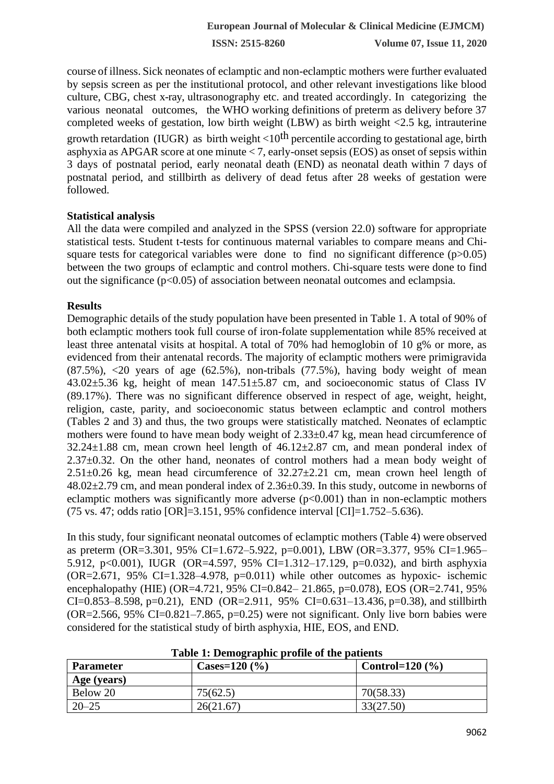**ISSN: 2515-8260 Volume 07, Issue 11, 2020**

course of illness. Sick neonates of eclamptic and non-eclamptic mothers were further evaluated by sepsis screen as per the institutional protocol, and other relevant investigations like blood culture, CBG, chest x-ray, ultrasonography etc. and treated accordingly. In categorizing the various neonatal outcomes, the WHO working definitions of preterm as delivery before 37 completed weeks of gestation, low birth weight (LBW) as birth weight <2.5 kg, intrauterine growth retardation (IUGR) as birth weight  $<10$ <sup>th</sup> percentile according to gestational age, birth asphyxia as APGAR score at one minute  $< 7$ , early-onset sepsis (EOS) as onset of sepsis within 3 days of postnatal period, early neonatal death (END) as neonatal death within 7 days of postnatal period, and stillbirth as delivery of dead fetus after 28 weeks of gestation were followed.

### **Statistical analysis**

All the data were compiled and analyzed in the SPSS (version 22.0) software for appropriate statistical tests. Student t-tests for continuous maternal variables to compare means and Chisquare tests for categorical variables were done to find no significant difference  $(p>0.05)$ between the two groups of eclamptic and control mothers. Chi-square tests were done to find out the significance  $(p<0.05)$  of association between neonatal outcomes and eclampsia.

### **Results**

Demographic details of the study population have been presented in Table 1. A total of 90% of both eclamptic mothers took full course of iron-folate supplementation while 85% received at least three antenatal visits at hospital. A total of 70% had hemoglobin of 10 g% or more, as evidenced from their antenatal records. The majority of eclamptic mothers were primigravida  $(87.5\%)$ ,  $\lt 20$  years of age  $(62.5\%)$ , non-tribals  $(77.5\%)$ , having body weight of mean 43.02±5.36 kg, height of mean 147.51±5.87 cm, and socioeconomic status of Class IV (89.17%). There was no significant difference observed in respect of age, weight, height, religion, caste, parity, and socioeconomic status between eclamptic and control mothers (Tables 2 and 3) and thus, the two groups were statistically matched. Neonates of eclamptic mothers were found to have mean body weight of 2.33±0.47 kg, mean head circumference of  $32.24 \pm 1.88$  cm, mean crown heel length of  $46.12 \pm 2.87$  cm, and mean ponderal index of 2.37±0.32. On the other hand, neonates of control mothers had a mean body weight of  $2.51\pm0.26$  kg, mean head circumference of  $32.27\pm2.21$  cm, mean crown heel length of  $48.02\pm2.79$  cm, and mean ponderal index of  $2.36\pm0.39$ . In this study, outcome in newborns of eclamptic mothers was significantly more adverse  $(p<0.001)$  than in non-eclamptic mothers (75 vs. 47; odds ratio [OR]=3.151, 95% confidence interval [CI]=1.752–5.636).

In this study, four significant neonatal outcomes of eclamptic mothers (Table 4) were observed as preterm (OR=3.301, 95% CI=1.672–5.922, p=0.001), LBW (OR=3.377, 95% CI=1.965– 5.912, p<0.001), IUGR (OR=4.597, 95% CI=1.312–17.129, p=0.032), and birth asphyxia  $(OR=2.671, 95\% \text{ CI}=1.328-4.978, p=0.011)$  while other outcomes as hypoxic- ischemic encephalopathy (HIE) (OR=4.721, 95% CI=0.842– 21.865, p=0.078), EOS (OR=2.741, 95% CI=0.853–8.598, p=0.21), END (OR=2.911, 95% CI=0.631–13.436, p=0.38), and still birth  $(OR = 2.566, 95\% CI = 0.821 - 7.865, p = 0.25)$  were not significant. Only live born babies were considered for the statistical study of birth asphyxia, HIE, EOS, and END.

| <b>Parameter</b> | Cases= $120\,(%)$ | Control= $120\,(%)$ |  |
|------------------|-------------------|---------------------|--|
| Age (years)      |                   |                     |  |
| Below 20         | 75(62.5)          | 70(58.33)           |  |
| $20 - 25$        | 26(21.67)         | 33(27.50)           |  |

**Table 1: Demographic profile of the patients**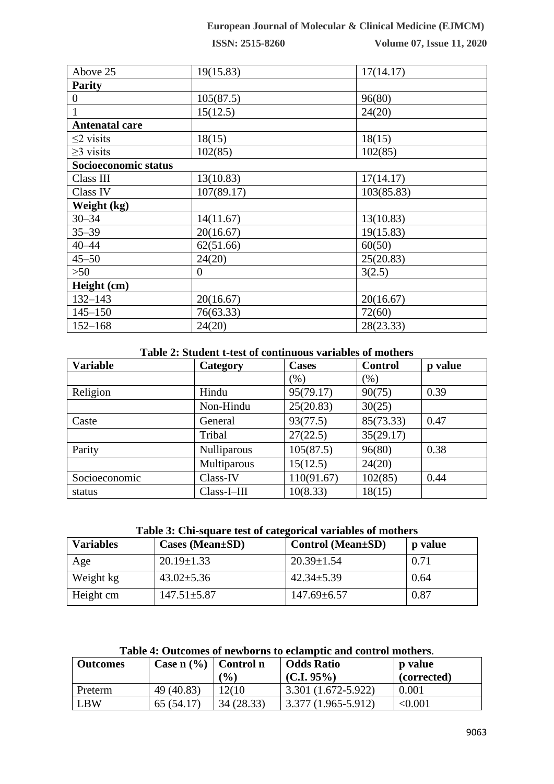## **European Journal of Molecular & Clinical Medicine (EJMCM)**

**ISSN: 2515-8260 Volume 07, Issue 11, 2020**

| Above 25              | 19(15.83)  | 17(14.17)  |
|-----------------------|------------|------------|
| <b>Parity</b>         |            |            |
| 0                     | 105(87.5)  | 96(80)     |
| 1                     | 15(12.5)   | 24(20)     |
| <b>Antenatal care</b> |            |            |
| $\leq$ 2 visits       | 18(15)     | 18(15)     |
| $\geq$ 3 visits       | 102(85)    | 102(85)    |
| Socioeconomic status  |            |            |
| Class III             | 13(10.83)  | 17(14.17)  |
| Class IV              | 107(89.17) | 103(85.83) |
| Weight (kg)           |            |            |
| $30 - 34$             | 14(11.67)  | 13(10.83)  |
| $35 - 39$             | 20(16.67)  | 19(15.83)  |
| $40 - 44$             | 62(51.66)  | 60(50)     |
| $45 - 50$             | 24(20)     | 25(20.83)  |
| >50                   | $\Omega$   | 3(2.5)     |
| Height (cm)           |            |            |
| $132 - 143$           | 20(16.67)  | 20(16.67)  |
| $145 - 150$           | 76(63.33)  | 72(60)     |
| $152 - 168$           | 24(20)     | 28(23.33)  |

## **Table 2: Student t-test of continuous variables of mothers**

| <b>Variable</b> | Category    | <b>Cases</b> | <b>Control</b> | p value |
|-----------------|-------------|--------------|----------------|---------|
|                 |             | (% )         | (%)            |         |
| Religion        | Hindu       | 95(79.17)    | 90(75)         | 0.39    |
|                 | Non-Hindu   | 25(20.83)    | 30(25)         |         |
| Caste           | General     | 93(77.5)     | 85(73.33)      | 0.47    |
|                 | Tribal      | 27(22.5)     | 35(29.17)      |         |
| Parity          | Nulliparous | 105(87.5)    | 96(80)         | 0.38    |
|                 | Multiparous | 15(12.5)     | 24(20)         |         |
| Socioeconomic   | Class-IV    | 110(91.67)   | 102(85)        | 0.44    |
| status          | Class-I-III | 10(8.33)     | 18(15)         |         |

#### **Table 3: Chi-square test of categorical variables of mothers**

| <b>Variables</b> | $\text{Cases} \ ( \text{Mean} \pm \text{SD} )$ | Control (Mean±SD) | <b>p</b> value |
|------------------|------------------------------------------------|-------------------|----------------|
| Age              | $20.19 \pm 1.33$                               | $20.39 \pm 1.54$  | 0.71           |
| Weight kg        | $43.02 \pm 5.36$                               | $42.34 \pm 5.39$  | 0.64           |
| Height cm        | $147.51 \pm 5.87$                              | $147.69 \pm 6.57$ | 0.87           |

# **Table 4: Outcomes of newborns to eclamptic and control mothers**.

| <b>Outcomes</b> | Case $n$ (%) Control n |                 | <b>Odds Ratio</b>   | <b>p</b> value |
|-----------------|------------------------|-----------------|---------------------|----------------|
|                 |                        | $\frac{(0)}{0}$ | $(C.I. 95\%)$       | (corrected)    |
| Preterm         | 49 (40.83)             | 12(10           | 3.301 (1.672-5.922) | 0.001          |
| LBW             | 65 (54.17)             | 34 (28.33)      | 3.377 (1.965-5.912) | < 0.001        |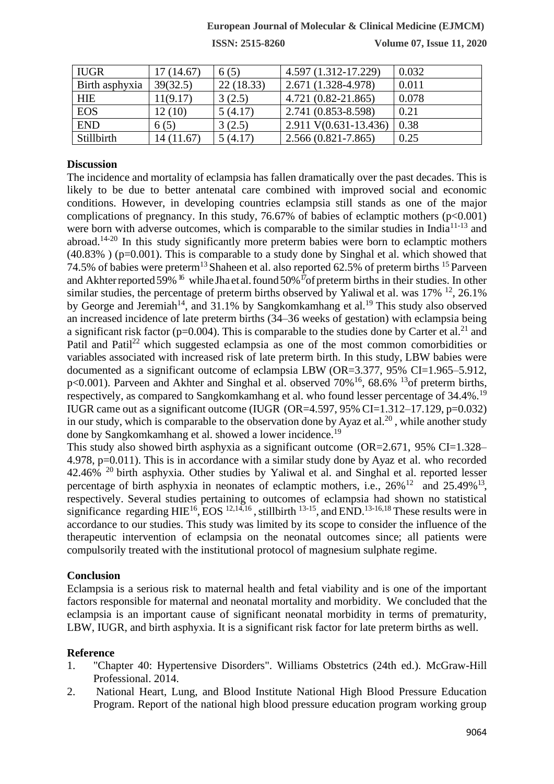## **European Journal of Molecular & Clinical Medicine (EJMCM)**

**ISSN: 2515-8260 Volume 07, Issue 11, 2020**

| <b>IUGR</b>    | 17(14.67) | 6(5)      | 4.597 (1.312-17.229)   | 0.032 |
|----------------|-----------|-----------|------------------------|-------|
| Birth asphyxia | 39(32.5)  | 22(18.33) | 2.671 (1.328-4.978)    | 0.011 |
| HIE            | 11(9.17)  | 3(2.5)    | $4.721(0.82 - 21.865)$ | 0.078 |
| <b>EOS</b>     | 12 (10)   | 5(4.17)   | 2.741 (0.853-8.598)    | 0.21  |
| <b>END</b>     | 6(5)      | 3(2.5)    | 2.911 V(0.631-13.436)  | 0.38  |
| Stillbirth     | 14(11.67) | 5(4.17)   | $2.566(0.821 - 7.865)$ | 0.25  |

#### **Discussion**

The incidence and mortality of eclampsia has fallen dramatically over the past decades. This is likely to be due to better antenatal care combined with improved social and economic conditions. However, in developing countries eclampsia still stands as one of the major complications of pregnancy. In this study, 76.67% of babies of eclamptic mothers  $(p<0.001)$ were born with adverse outcomes, which is comparable to the similar studies in India<sup>11-13</sup> and abroad.<sup>14-20</sup> In this study significantly more preterm babies were born to eclamptic mothers  $(40.83\%)$  (p=0.001). This is comparable to a study done by Singhal et al. which showed that 74.5% of babies were preterm<sup>13</sup> Shaheen et al. also reported 62.5% of preterm births <sup>15</sup> Parveen and Akhterreported 59%<sup>16</sup> while Jha et al. found 50%<sup>17</sup>of preterm births in their studies. In other similar studies, the percentage of preterm births observed by Yaliwal et al. was  $17\%$  <sup>12</sup>, 26.1% by George and Jeremiah<sup>14</sup>, and  $31.1\%$  by Sangkomkamhang et al.<sup>19</sup> This study also observed an increased incidence of late preterm births (34–36 weeks of gestation) with eclampsia being a significant risk factor ( $p=0.004$ ). This is comparable to the studies done by Carter et al.<sup>21</sup> and Patil and Patil<sup>22</sup> which suggested eclampsia as one of the most common comorbidities or variables associated with increased risk of late preterm birth. In this study, LBW babies were documented as a significant outcome of eclampsia LBW (OR=3.377, 95% CI=1.965–5.912, p<0.001). Parveen and Akhter and Singhal et al. observed  $70\%$ <sup>16</sup>, 68.6% <sup>13</sup>of preterm births, respectively, as compared to Sangkomkamhang et al. who found lesser percentage of 34.4%.<sup>19</sup> IUGR came out as a significant outcome (IUGR (OR=4.597, 95% CI=1.312–17.129, p=0.032) in our study, which is comparable to the observation done by Ayaz et al.<sup>20</sup>, while another study done by Sangkomkamhang et al. showed a lower incidence.<sup>19</sup>

This study also showed birth asphyxia as a significant outcome (OR=2.671, 95% CI=1.328– 4.978, p=0.011). This is in accordance with a similar study done by Ayaz et al. who recorded 42.46%  $^{20}$  birth asphyxia. Other studies by Yaliwal et al. and Singhal et al. reported lesser percentage of birth asphyxia in neonates of eclamptic mothers, i.e.,  $26\%^{12}$  and  $25.49\%^{13}$ , respectively. Several studies pertaining to outcomes of eclampsia had shown no statistical significance regarding  $HIE^{16}$ , EOS  $^{12,14,16}$ , stillbirth  $^{13-15}$ , and END.<sup>13-16,18</sup> These results were in accordance to our studies. This study was limited by its scope to consider the influence of the therapeutic intervention of eclampsia on the neonatal outcomes since; all patients were compulsorily treated with the institutional protocol of magnesium sulphate regime.

### **Conclusion**

Eclampsia is a serious risk to maternal health and fetal viability and is one of the important factors responsible for maternal and neonatal mortality and morbidity. We concluded that the eclampsia is an important cause of significant neonatal morbidity in terms of prematurity, LBW, IUGR, and birth asphyxia. It is a significant risk factor for late preterm births as well.

#### **Reference**

- 1. "Chapter 40: Hypertensive Disorders". Williams Obstetrics (24th ed.). McGraw-Hill Professional. 2014.
- 2. National Heart, Lung, and Blood Institute National High Blood Pressure Education Program. Report of the national high blood pressure education program working group